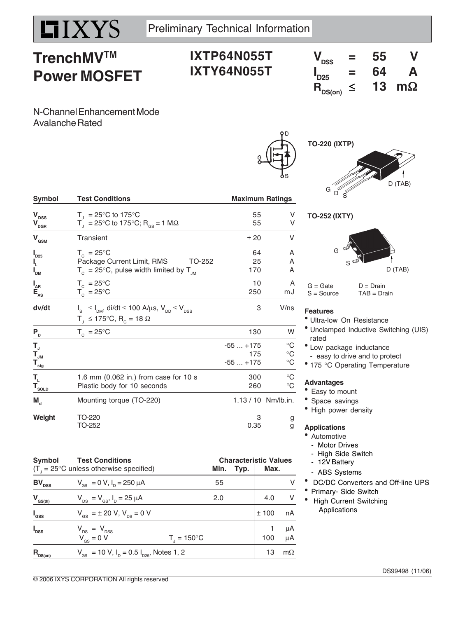# **TrenchMVTM Power MOSFET**

# **IXTP64N055T IXTY64N055T**

| $V_{DSS}$                                           | Ξ      | 55 |           |
|-----------------------------------------------------|--------|----|-----------|
| $\mathbf{I}_{D25}$                                  | -<br>⋍ | 64 | A         |
| $\bm{\mathsf{R}}_{\mathsf{DS}( \bm{\mathsf{on} })}$ | ≤      | 13 | $m\Omega$ |

N-Channel Enhancement Mode Avalanche Rated

| <b>Symbol</b>                                                               | <b>Test Conditions</b>                                                                                                                                   |                               | <b>Maximum Ratings</b>                          |  |  |
|-----------------------------------------------------------------------------|----------------------------------------------------------------------------------------------------------------------------------------------------------|-------------------------------|-------------------------------------------------|--|--|
| $\mathbf{V}_{\texttt{DSS}}$<br>$\mathbf{V}_{\text{D}\underline{\text{GR}}}$ | $T_{\parallel}$ = 25°C to 175°C<br>$T_1 = 25^{\circ}$ C to 175°C; R <sub>os</sub> = 1 MΩ                                                                 | 55<br>55                      | V<br>V                                          |  |  |
| $V_{\text{GSM}}$                                                            | Transient                                                                                                                                                | ± 20                          | V                                               |  |  |
| $\boldsymbol{I}_{D25}$<br>I,<br>$I_{DM}$                                    | $T_c = 25^{\circ}$ C<br>Package Current Limit, RMS<br>TO-252<br>$T_c = 25^{\circ}$ C, pulse width limited by T <sub>JM</sub>                             | 64<br>25<br>170               | A<br>A<br>A                                     |  |  |
| $I_{AR}$<br>$E_{\rm{as}}$                                                   | $T_c = 25^{\circ}$ C<br>$T_c = 25^{\circ}$ C                                                                                                             | 10<br>250                     | A<br>mJ                                         |  |  |
| dv/dt                                                                       | $I_{\rm s}$ $\leq$ $I_{\rm DM}$ , di/dt $\leq$ 100 A/ $\mu$ s, V <sub>DD</sub> $\leq$ V <sub>DSS</sub><br>$T_1 \le 175^{\circ}C$ , R <sub>o</sub> = 18 Ω | 3                             | V/ns                                            |  |  |
| $P_{D}$                                                                     | $T_c = 25^{\circ}$ C                                                                                                                                     | 130                           | W                                               |  |  |
| T,<br>$T_{\text{JM}}$<br>$T_{\frac{stg}{}}$                                 |                                                                                                                                                          | $-55+175$<br>175<br>$-55+175$ | $^{\circ}C$<br>$^{\circ}C$<br>$^{\circ}{\rm C}$ |  |  |
| T <sub>L</sub><br>$\mathbf{T}_{\text{so}_{\underline{\text{LD}}}}$          | 1.6 mm (0.062 in.) from case for 10 s<br>Plastic body for 10 seconds                                                                                     | 300<br>260                    | $^{\circ}C$<br>°C                               |  |  |
| $M_{\rm d}$                                                                 | Mounting torque (TO-220)                                                                                                                                 |                               | 1.13 / 10 Nm/lb.in.                             |  |  |
| Weight                                                                      | TO-220<br>TO-252                                                                                                                                         | 3<br>0.35                     | g<br>g                                          |  |  |

**TO-220 (IXTP)** D (TAB)  $^{\mathsf{G}}$  D  $^{\mathsf{G}}$  S

### **TO-252 (IXTY)**



 $G = Gate$   $D = Drain$ <br>  $S = Source$   $TAB = Dra$  $TAB = Drain$ 

### **Features**

- Ultra-low On Resistance
- $^{\bullet}$  Unclamped Inductive Switching (UIS) rated
- Low package inductance - easy to drive and to protect
- 175 °C Operating Temperature

### **Advantages**

- Easy to mount
- Space savings
- High power density

### **Applications**

- Automotive
	- Motor Drives
- High Side Switch
- 12V Battery
- ABS Systems
- DC/DC Converters and Off-line UPS
- Primary- Side Switch
- High Current Switching Applications

**Symbol Test Conditions Characteristic Values**<br>
(T = 25°C unless otherwise specified) Min. | Typ. | Max.  $(T_{\text{J}} = 25^{\circ}\text{C}$  unless otherwise specified) **Min. Min.** Typ. **Max. BV**<sub>DSS</sub>  $V_{GS} = 0 \text{ V}, I_D = 250 \mu\text{A}$  55 V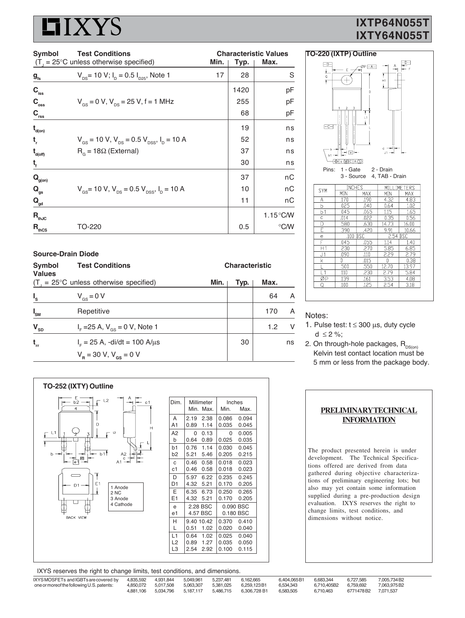# IXYS

## **IXTP64N055T IXTY64N055T**

| <b>Test Conditions</b><br>Symbol   |                                                                                        | <b>Characteristic Values</b> |      |                    |  |
|------------------------------------|----------------------------------------------------------------------------------------|------------------------------|------|--------------------|--|
|                                    | $(T_{1} = 25^{\circ}C$ unless otherwise specified)                                     | Min.                         | Typ. | Max.               |  |
| $\boldsymbol{g}_{\text{fs}}$       | $V_{DS}$ = 10 V; I <sub>D</sub> = 0.5 I <sub>D25</sub> , Note 1                        | 17                           | 28   | S                  |  |
| $C_{\rm iss}$                      |                                                                                        |                              | 1420 | pF                 |  |
| $C_{\rm oss}$                      | $V_{\text{gs}} = 0$ V, $V_{\text{ps}} = 25$ V, f = 1 MHz                               |                              | 255  | рF                 |  |
| $\mathbf{C}_{\mathsf{rss}}$        |                                                                                        |                              | 68   | pF                 |  |
| $\mathbf{t}_{\text{\tiny{d(0n)}}}$ |                                                                                        |                              | 19   | ns                 |  |
| t,                                 | $V_{\text{gs}}$ = 10 V, $V_{\text{ps}}$ = 0.5 $V_{\text{pss}}$ , $I_{\text{p}}$ = 10 A |                              | 52   | ns                 |  |
| $t_{\text{\tiny{d(off)}}}$         | $R_{\alpha}$ = 18 $\Omega$ (External)                                                  |                              | 37   | ns                 |  |
| t,                                 |                                                                                        |                              | 30   | ns                 |  |
| $\mathbf{Q}_{\text{g(on)}}$        |                                                                                        |                              | 37   | nС                 |  |
| $\mathbf{Q}_{gs}$                  | $V_{\text{gs}}$ = 10 V, $V_{\text{ps}}$ = 0.5 V <sub>pss</sub> , I <sub>p</sub> = 10 A |                              | 10   | пC                 |  |
| $\mathbf{Q}_{\text{gd}}$           |                                                                                        |                              | 11   | nС                 |  |
| $R_{thJC}$                         |                                                                                        |                              |      | $1.15^{\circ}$ C/W |  |
| $R_{\text{thcs}}$                  | TO-220                                                                                 |                              | 0.5  | ℃⁄W                |  |

|                            | <b>Source-Drain Diode</b>                          |                       |      |      |        |
|----------------------------|----------------------------------------------------|-----------------------|------|------|--------|
| Symbol<br><b>Values</b>    | <b>Test Conditions</b>                             | <b>Characteristic</b> |      |      |        |
|                            | $(T_{1} = 25^{\circ}C$ unless otherwise specified) | Min.                  | Typ. | Max. |        |
| $I_{s}$                    | $V_{\text{gs}} = 0 V$                              |                       |      | 64   | A      |
| $I_{\rm SM}$               | Repetitive                                         |                       |      | 170  | A      |
| $\mathbf{V}_{\texttt{SD}}$ | $I_{F}$ = 25 A, $V_{GS}$ = 0 V, Note 1             |                       |      | 1.2  | $\vee$ |
| $t_{rr}$                   | $IF = 25 A$ , -di/dt = 100 A/ $\mu$ s              |                       | 30   |      | ns     |
|                            | $V_B = 30 V, V_{gs} = 0 V$                         |                       |      |      |        |



#### Notes:

- 1. Pulse test:  $t \le 300 \mu s$ , duty cycle d  $\leq 2 \%$ :
- 2. On through-hole packages,  $R_{DS(00)}$  Kelvin test contact location must be 5 mm or less from the package body.



| PRELIMINARY TECHNICAL |
|-----------------------|
| <b>INFORMATION</b>    |
|                       |

The product presented herein is under development. The Technical Specifications offered are derived from data gathered during objective characterizations of preliminary engineering lots; but also may yet contain some information supplied during a pre-production design evaluation. IXYS reserves the right to change limits, test conditions, and dimensions without notice.

IXYS reserves the right to change limits, test conditions, and dimensions.

IXYS MOSFETs and IGBTs are covered by 4,835,592 4,931,844 5,049,961 5,237,481 6,162,665 6,404,065 B1 6,683,344 6,727,585 7,005,734 B2 one or moreof the following U.S. patents: 4,850,072 5,017,508 5,063,307 5,381,025 6,259,123B1 6,534,343 6,710,405B2 6,759,692 7,063,975<br>4,881,106 5,034,796 5,187,117 5,486,715 6,306,728 B1 6,583,505 6,710,463 6771478B2 7,0 4,881,106 5,034,796 5,187,117 5,486,715 6,306,728 B1 6,583,505 6,710,463 6771478 B2 7,071,537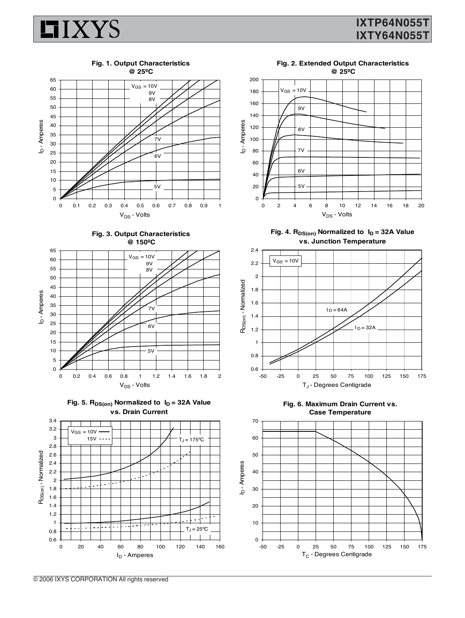## **IXTP64N055T IXTY64N055T**













ID - Amperes



Fig. 4. R<sub>DS(on)</sub> Normalized to  $I_D = 32A$  Value **vs. Junction Temperature**







**Fig. 1. Output Characteristics**

**IIXYS** 

**Fig. 2. Extended Output Characteristics**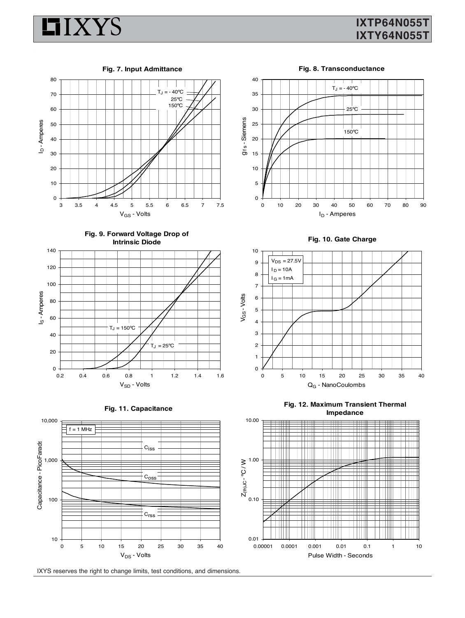

## **IXTP64N055T IXTY64N055T**

**Fig. 7. Input Admittance**

**Fig. 8. Transconductance**











IXYS reserves the right to change limits, test conditions, and dimensions.



**Fig. 10. Gate Charge**